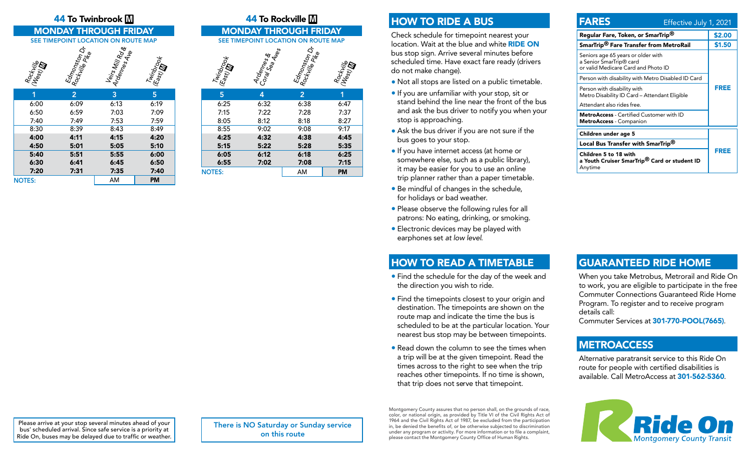# **44 To Twinbrook**  $\boxed{\mathbb{M}}$  **and the 44 To Rockville**  $\boxed{\mathbb{M}}$

| Rockville<br>(Nest) ID | Edmonston<br><sup>Rockmille Pon</sup> te | Veirs Mill Rode<br>Ardennes Ave | Twinbrook<br>(East) Mgok |
|------------------------|------------------------------------------|---------------------------------|--------------------------|
|                        | $\overline{2}$                           | 3                               | 5                        |
| 6:00                   | 6:09                                     | 6:13                            | 6:19                     |
| 6:50                   | 6:59                                     | 7:03                            | 7:09                     |
| 7:40                   | 7:49                                     | 7:53                            | 7:59                     |
| 8:30                   | 8:39                                     | 8:43                            | 8:49                     |
|                        |                                          |                                 |                          |

NOTES: AM PM

| <b>JEE TIMET VINT</b> | <b>LOCATION ON NOUTE IVIAP</b>                           | JEE I            |                                  |                       |
|-----------------------|----------------------------------------------------------|------------------|----------------------------------|-----------------------|
| West India            | Edmonston<br>  Rock <sub>Wille</sub> Ri <sub>ke</sub> Dr | Veris Mill Roy & | Twinbrook<br>(East) <b>m</b> ook | Twinbrook<br>(East) M |
| 1                     | $\overline{2}$                                           | 3                | 5                                | 5                     |
| 6:00                  | 6:09                                                     | 6:13             | 6:19                             | 6:25                  |
| 6:50                  | 6:59                                                     | 7:03             | 7:09                             | 7:15                  |
| 7:40                  | 7:49                                                     | 7:53             | 7:59                             | 8:05                  |
| 8:30                  | 8:39                                                     | 8:43             | 8:49                             | 8:55                  |
| 4:00                  | 4:11                                                     | 4:15             | 4:20                             | 4:25                  |
| 4:50                  | 5:01                                                     | 5:05             | 5:10                             | 5:15                  |
| 5:40                  | 5:51                                                     | 5:55             | 6:00                             | 6:05                  |
| 6:30                  | 6:41                                                     | 6:45             | 6:50                             | 6:55                  |
| 7:20                  | 7:31                                                     | 7:35             | 7:40                             | <b>NOTES:</b>         |
|                       |                                                          |                  |                                  |                       |

MONDAY THROUGH FRIDAY MONDAY THROUGH FRIDAY<br>SEE TIMEPOINT LOCATION ON ROUTE MAP SEE TIMEPOINT LOCATION ON ROUTE MA SEE TIMEPOINT LOCATION ON ROUTE MAP Ardemes<br>Coral Sea Aves<br>Edmonston Dr<br>Rockville Pike Rockwille<br>Vessi Nile (West) m

| ∾             | ں ·  | - پ            | ≂         |
|---------------|------|----------------|-----------|
| 5             | 4    | $\overline{2}$ |           |
| 6:25          | 6:32 | 6:38           | 6:47      |
| 7:15          | 7:22 | 7:28           | 7:37      |
| 8:05          | 8:12 | 8:18           | 8:27      |
| 8:55          | 9:02 | 9:08           | 9:17      |
| 4:25          | 4:32 | 4:38           | 4:45      |
| 5:15          | 5:22 | 5:28           | 5:35      |
| 6:05          | 6:12 | 6:18           | 6:25      |
| 6:55          | 7:02 | 7:08           | 7:15      |
| <b>NOTES:</b> |      | AM             | <b>PM</b> |
|               |      |                |           |

# HOW TO RIDE A BUS

Check schedule for timepoint nearest your location. Wait at the blue and white RIDE ON bus stop sign. Arrive several minutes before scheduled time. Have exact fare ready (drivers do not make change).

- Not all stops are listed on a public timetable.
- If you are unfamiliar with your stop, sit or stand behind the line near the front of the bus and ask the bus driver to notify you when your stop is approaching.
- Ask the bus driver if you are not sure if the bus goes to your stop.
- If you have internet access (at home or somewhere else, such as a public library), it may be easier for you to use an online trip planner rather than a paper timetable.
- Be mindful of changes in the schedule, for holidays or bad weather.
- Please observe the following rules for all patrons: No eating, drinking, or smoking.
- Electronic devices may be played with earphones set *at low level*.

### HOW TO READ A TIMETABLE

- Find the schedule for the day of the week and the direction you wish to ride.
- Find the timepoints closest to your origin and destination. The timepoints are shown on the route map and indicate the time the bus is scheduled to be at the particular location. Your nearest bus stop may be between timepoints.
- Read down the column to see the times when a trip will be at the given timepoint. Read the times across to the right to see when the trip reaches other timepoints. If no time is shown, that trip does not serve that timepoint.

#### FARES Effective July 1, 2021 Regular Fare, Token, or SmarTrip<sup>®</sup> \$2.00 SmarTrip<sup>®</sup> Fare Transfer from MetroRail \$1.50 Seniors age 65 years or older with a Senior SmarTrip® card or valid Medicare Card and Photo ID FREE Person with disability with Metro Disabled ID Card Person with disability with Metro Disability ID Card – Attendant Eligible Attendant also rides free. MetroAccess - Certified Customer with ID MetroAccess - Companion

FREE

#### GUARANTEED RIDE HOME

When you take Metrobus, Metrorail and Ride On to work, you are eligible to participate in the free Commuter Connections Guaranteed Ride Home Program. To register and to receive program details call:

Commuter Services at 301-770-POOL(7665).

#### **METROACCESS**

Children under age 5

Children 5 to 18 with

Anytime

Local Bus Transfer with SmarTrip®

a Youth Cruiser SmarTrip® Card or student ID

Alternative paratransit service to this Ride On route for people with certified disabilities is available. Call MetroAccess at 301-562-5360.



Please arrive at your stop several minutes ahead of your bus' scheduled arrival. Since safe service is a priority at Ride On, buses may be delayed due to traffic or weather. There is NO Saturday or Sunday service on this route

Montgomery County assures that no person shall, on the grounds of race, color, or national origin, as provided by Title VI of the Civil Rights Act of 1964 and the Civil Rights Act of 1987, be excluded from the participation in, be denied the benefits of, or be otherwise subjected to discrimination under any program or activity. For more information or to file a complaint, please contact the Montgomery County Office of Human Rights.